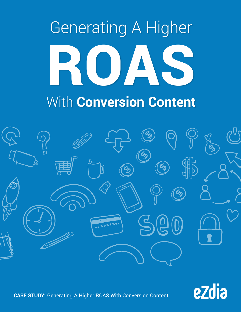## Generating A Higher ROJA. With **Conversion Content**





**CASE STUDY:** Generating A Higher ROAS With Conversion Content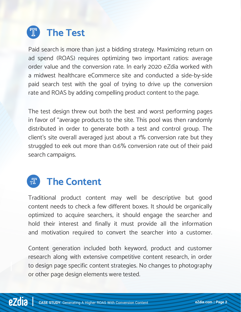

Paid search is more than just a bidding strategy. Maximizing return on ad spend (ROAS) requires optimizing two important ratios: average order value and the conversion rate. In early 2020 eZdia worked with a midwest healthcare eCommerce site and conducted a side-by-side paid search test with the goal of trying to drive up the conversion rate and ROAS by adding compelling product content to the page.

The test design threw out both the best and worst performing pages in favor of "average products to the site. This pool was then randomly distributed in order to generate both a test and control group. The client's site overall averaged just about a 1% conversion rate but they struggled to eek out more than 0.6% conversion rate out of their paid search campaigns.

## **The Content**

Traditional product content may well be descriptive but good content needs to check a few different boxes. It should be organically optimized to acquire searchers, it should engage the searcher and hold their interest and finally it must provide all the information and motivation required to convert the searcher into a customer.

Content generation included both keyword, product and customer research along with extensive competitive content research, in order to design page specific content strategies. No changes to photography or other page design elements were tested.

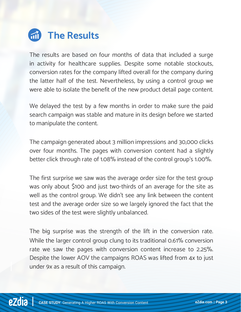

The results are based on four months of data that included a surge in activity for healthcare supplies. Despite some notable stockouts, conversion rates for the company lifted overall for the company during the latter half of the test. Nevertheless, by using a control group we were able to isolate the benefit of the new product detail page content.

We delayed the test by a few months in order to make sure the paid search campaign was stable and mature in its design before we started to manipulate the content.

The campaign generated about 3 million impressions and 30,000 clicks over four months. The pages with conversion content had a slightly better click through rate of 1.08% instead of the control group's 1.00%.

The first surprise we saw was the average order size for the test group was only about \$100 and just two-thirds of an average for the site as well as the control group. We didn't see any link between the content test and the average order size so we largely ignored the fact that the two sides of the test were slightly unbalanced.

The big surprise was the strength of the lift in the conversion rate. While the larger control group clung to its traditional 0.61% conversion rate we saw the pages with conversion content increase to 2.25%. Despite the lower AOV the campaigns ROAS was lifted from 4x to just under 9x as a result of this campaign.